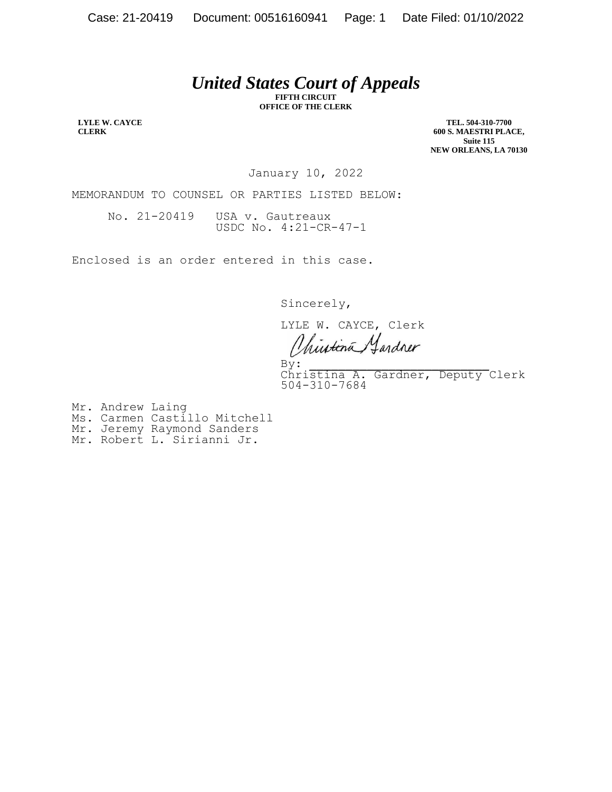## *United States Court of Appeals*

**FIFTH CIRCUIT OFFICE OF THE CLERK**

**LYLE W. CAYCE CLERK**

**TEL. 504-310-7700 600 S. MAESTRI PLACE, Suite 115 NEW ORLEANS, LA 70130**

January 10, 2022

MEMORANDUM TO COUNSEL OR PARTIES LISTED BELOW:

No. 21-20419 USA v. Gautreaux USDC No. 4:21-CR-47-1

Enclosed is an order entered in this case.

Sincerely,

LYLE W. CAYCE, Clerk hustina ardner

 $\mathbf{By:}$ By:<br>Christina A. Gardner, Deputy Clerk christina A.<br>504-310-7684

Mr. Andrew Laing

- Ms. Carmen Castillo Mitchell
- Mr. Jeremy Raymond Sanders
- Mr. Robert L. Sirianni Jr.